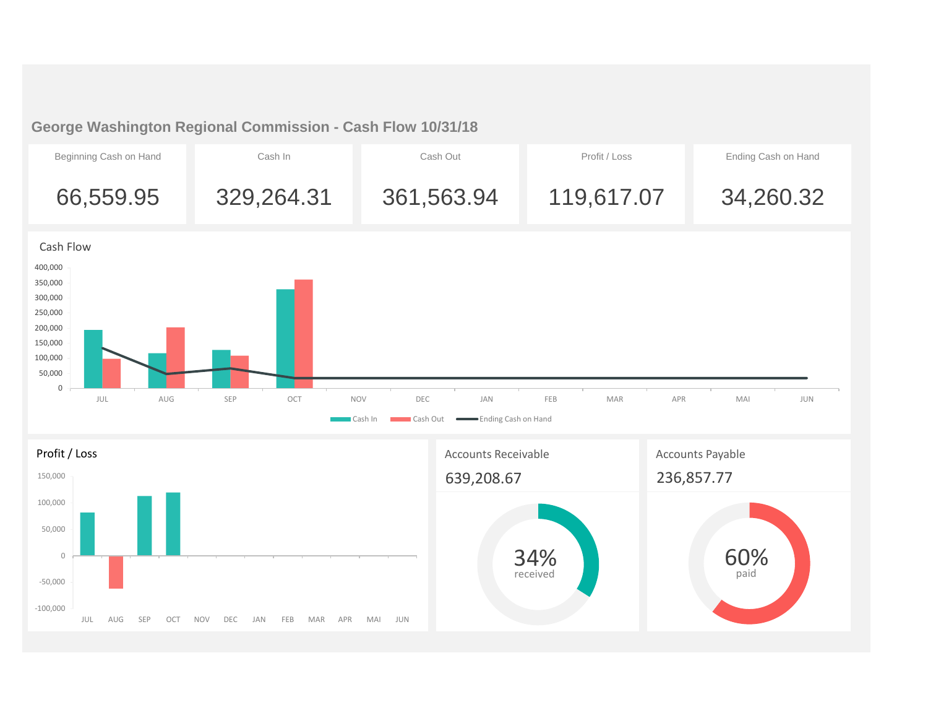## **George Washington Regional Commission - Cash Flow 10/31/18**